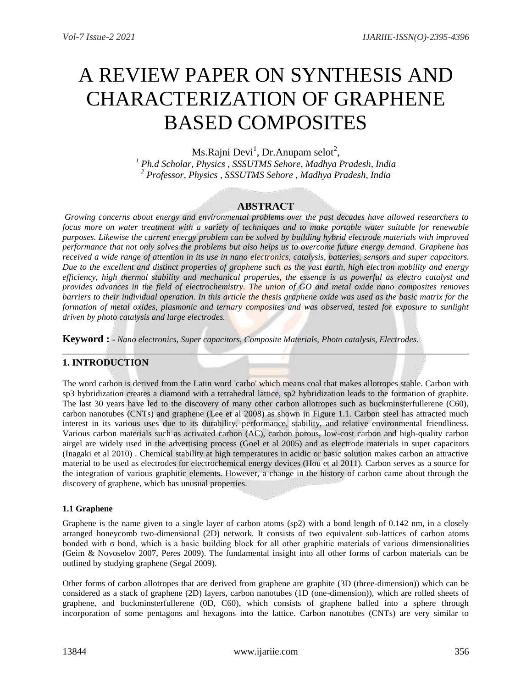# A REVIEW PAPER ON SYNTHESIS AND CHARACTERIZATION OF GRAPHENE BASED COMPOSITES

Ms.Rajni Devi<sup>1</sup>, Dr.Anupam selot<sup>2</sup>,

*<sup>1</sup> Ph.d Scholar, Physics , SSSUTMS Sehore, Madhya Pradesh, India <sup>2</sup> Professor, Physics , SSSUTMS Sehore , Madhya Pradesh, India*

### **ABSTRACT**

*Growing concerns about energy and environmental problems over the past decades have allowed researchers to focus more on water treatment with a variety of techniques and to make portable water suitable for renewable purposes. Likewise the current energy problem can be solved by building hybrid electrode materials with improved performance that not only solves the problems but also helps us to overcome future energy demand. Graphene has received a wide range of attention in its use in nano electronics, catalysis, batteries, sensors and super capacitors. Due to the excellent and distinct properties of graphene such as the vast earth, high electron mobility and energy efficiency, high thermal stability and mechanical properties, the essence is as powerful as electro catalyst and provides advances in the field of electrochemistry. The union of GO and metal oxide nano composites removes barriers to their individual operation. In this article the thesis graphene oxide was used as the basic matrix for the formation of metal oxides, plasmonic and ternary composites and was observed, tested for exposure to sunlight driven by photo catalysis and large electrodes.*

**Keyword : -** *Nano electronics, Super capacitors, Composite Materials, Photo catalysis, Electrodes.*

# **1. INTRODUCTION**

The word carbon is derived from the Latin word 'carbo' which means coal that makes allotropes stable. Carbon with sp3 hybridization creates a diamond with a tetrahedral lattice, sp2 hybridization leads to the formation of graphite. The last 30 years have led to the discovery of many other carbon allotropes such as buckminsterfullerene (C60), carbon nanotubes (CNTs) and graphene (Lee et al 2008) as shown in Figure 1.1. Carbon steel has attracted much interest in its various uses due to its durability, performance, stability, and relative environmental friendliness. Various carbon materials such as activated carbon (AC), carbon porous, low-cost carbon and high-quality carbon airgel are widely used in the advertising process (Goel et al 2005) and as electrode materials in super capacitors (Inagaki et al 2010) . Chemical stability at high temperatures in acidic or basic solution makes carbon an attractive material to be used as electrodes for electrochemical energy devices (Hou et al 2011). Carbon serves as a source for the integration of various graphitic elements. However, a change in the history of carbon came about through the discovery of graphene, which has unusual properties.

#### **1.1 Graphene**

Graphene is the name given to a single layer of carbon atoms (sp2) with a bond length of 0.142 nm, in a closely arranged honeycomb two-dimensional (2D) network. It consists of two equivalent sub-lattices of carbon atoms bonded with  $\sigma$  bond, which is a basic building block for all other graphitic materials of various dimensionalities (Geim & Novoselov 2007, Peres 2009). The fundamental insight into all other forms of carbon materials can be outlined by studying graphene (Segal 2009).

Other forms of carbon allotropes that are derived from graphene are graphite (3D (three-dimension)) which can be considered as a stack of graphene (2D) layers, carbon nanotubes (1D (one-dimension)), which are rolled sheets of graphene, and buckminsterfullerene (0D, C60), which consists of graphene balled into a sphere through incorporation of some pentagons and hexagons into the lattice. Carbon nanotubes (CNTs) are very similar to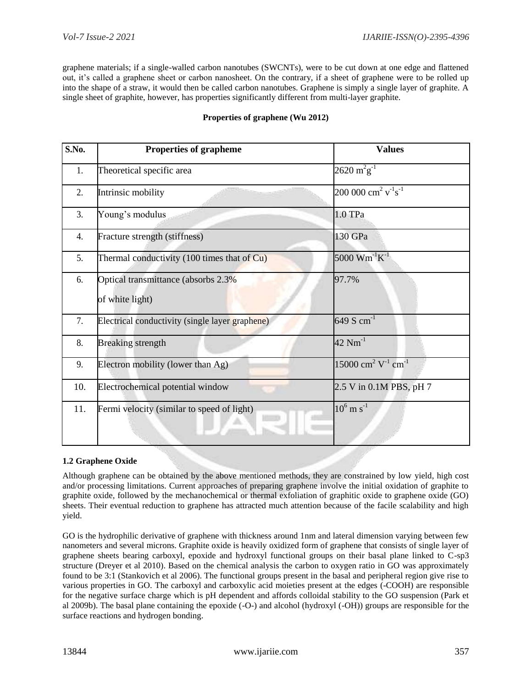graphene materials; if a single-walled carbon nanotubes (SWCNTs), were to be cut down at one edge and flattened out, it's called a graphene sheet or carbon nanosheet. On the contrary, if a sheet of graphene were to be rolled up into the shape of a straw, it would then be called carbon nanotubes. Graphene is simply a single layer of graphite. A single sheet of graphite, however, has properties significantly different from multi-layer graphite.

| S.No. | <b>Properties of grapheme</b>                           | <b>Values</b>                                       |
|-------|---------------------------------------------------------|-----------------------------------------------------|
| 1.    | Theoretical specific area                               | $2620 \,\mathrm{m}^2\mathrm{g}^{-1}$                |
| 2.    | Intrinsic mobility                                      | $200\ 000\ cm^2\ v^{\text{-}1}\text{s}^{\text{-}1}$ |
| 3.    | Young's modulus                                         | 1.0 TPa                                             |
| 4.    | Fracture strength (stiffness)                           | 130 GPa                                             |
| 5.    | Thermal conductivity (100 times that of Cu)             | 5000 $Wm^{-1}K^{-1}$                                |
| 6.    | Optical transmittance (absorbs 2.3%)<br>of white light) | 97.7%                                               |
| 7.    | Electrical conductivity (single layer graphene)         | 649 S $cm^{-1}$                                     |
| 8.    | <b>Breaking strength</b>                                | $42 \text{ Nm}^{-1}$                                |
| 9.    | Electron mobility (lower than Ag)                       | $15000 \text{ cm}^2 \text{ V}^{-1} \text{ cm}^{-1}$ |
| 10.   | Electrochemical potential window                        | 2.5 V in 0.1M PBS, pH 7                             |
| 11.   | Fermi velocity (similar to speed of light)              | $10^6$ m s <sup>-1</sup>                            |

#### **Properties of graphene (Wu 2012)**

#### **1.2 Graphene Oxide**

Although graphene can be obtained by the above mentioned methods, they are constrained by low yield, high cost and/or processing limitations. Current approaches of preparing graphene involve the initial oxidation of graphite to graphite oxide, followed by the mechanochemical or thermal exfoliation of graphitic oxide to graphene oxide (GO) sheets. Their eventual reduction to graphene has attracted much attention because of the facile scalability and high yield.

GO is the hydrophilic derivative of graphene with thickness around 1nm and lateral dimension varying between few nanometers and several microns. Graphite oxide is heavily oxidized form of graphene that consists of single layer of graphene sheets bearing carboxyl, epoxide and hydroxyl functional groups on their basal plane linked to C-sp3 structure (Dreyer et al 2010). Based on the chemical analysis the carbon to oxygen ratio in GO was approximately found to be 3:1 (Stankovich et al 2006). The functional groups present in the basal and peripheral region give rise to various properties in GO. The carboxyl and carboxylic acid moieties present at the edges (-COOH) are responsible for the negative surface charge which is pH dependent and affords colloidal stability to the GO suspension (Park et al 2009b). The basal plane containing the epoxide (-O-) and alcohol (hydroxyl (-OH)) groups are responsible for the surface reactions and hydrogen bonding.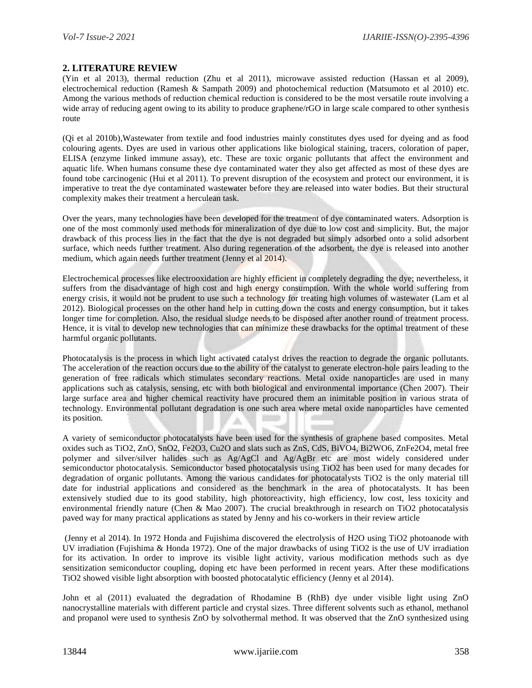#### **2. LITERATURE REVIEW**

(Yin et al 2013), thermal reduction (Zhu et al 2011), microwave assisted reduction (Hassan et al 2009), electrochemical reduction (Ramesh & Sampath 2009) and photochemical reduction (Matsumoto et al 2010) etc. Among the various methods of reduction chemical reduction is considered to be the most versatile route involving a wide array of reducing agent owing to its ability to produce graphene/rGO in large scale compared to other synthesis route

(Qi et al 2010b),Wastewater from textile and food industries mainly constitutes dyes used for dyeing and as food colouring agents. Dyes are used in various other applications like biological staining, tracers, coloration of paper, ELISA (enzyme linked immune assay), etc. These are toxic organic pollutants that affect the environment and aquatic life. When humans consume these dye contaminated water they also get affected as most of these dyes are found tobe carcinogenic (Hui et al 2011). To prevent disruption of the ecosystem and protect our environment, it is imperative to treat the dye contaminated wastewater before they are released into water bodies. But their structural complexity makes their treatment a herculean task.

Over the years, many technologies have been developed for the treatment of dye contaminated waters. Adsorption is one of the most commonly used methods for mineralization of dye due to low cost and simplicity. But, the major drawback of this process lies in the fact that the dye is not degraded but simply adsorbed onto a solid adsorbent surface, which needs further treatment. Also during regeneration of the adsorbent, the dye is released into another medium, which again needs further treatment (Jenny et al 2014).

Electrochemical processes like electrooxidation are highly efficient in completely degrading the dye; nevertheless, it suffers from the disadvantage of high cost and high energy consumption. With the whole world suffering from energy crisis, it would not be prudent to use such a technology for treating high volumes of wastewater (Lam et al 2012). Biological processes on the other hand help in cutting down the costs and energy consumption, but it takes longer time for completion. Also, the residual sludge needs to be disposed after another round of treatment process. Hence, it is vital to develop new technologies that can minimize these drawbacks for the optimal treatment of these harmful organic pollutants.

Photocatalysis is the process in which light activated catalyst drives the reaction to degrade the organic pollutants. The acceleration of the reaction occurs due to the ability of the catalyst to generate electron-hole pairs leading to the generation of free radicals which stimulates secondary reactions. Metal oxide nanoparticles are used in many applications such as catalysis, sensing, etc with both biological and environmental importance (Chen 2007). Their large surface area and higher chemical reactivity have procured them an inimitable position in various strata of technology. Environmental pollutant degradation is one such area where metal oxide nanoparticles have cemented its position.

A variety of semiconductor photocatalysts have been used for the synthesis of graphene based composites. Metal oxides such as TiO2, ZnO, SnO2, Fe2O3, Cu2O and slats such as ZnS, CdS, BiVO4, Bi2WO6, ZnFe2O4, metal free polymer and silver/silver halides such as Ag/AgCl and Ag/AgBr etc are most widely considered under semiconductor photocatalysis. Semiconductor based photocatalysis using TiO2 has been used for many decades for degradation of organic pollutants. Among the various candidates for photocatalysts TiO2 is the only material till date for industrial applications and considered as the benchmark in the area of photocatalysts. It has been extensively studied due to its good stability, high photoreactivity, high efficiency, low cost, less toxicity and environmental friendly nature (Chen & Mao 2007). The crucial breakthrough in research on TiO2 photocatalysis paved way for many practical applications as stated by Jenny and his co-workers in their review article

(Jenny et al 2014). In 1972 Honda and Fujishima discovered the electrolysis of H2O using TiO2 photoanode with UV irradiation (Fujishima & Honda 1972). One of the major drawbacks of using TiO2 is the use of UV irradiation for its activation. In order to improve its visible light activity, various modification methods such as dye sensitization semiconductor coupling, doping etc have been performed in recent years. After these modifications TiO2 showed visible light absorption with boosted photocatalytic efficiency (Jenny et al 2014).

John et al (2011) evaluated the degradation of Rhodamine B (RhB) dye under visible light using ZnO nanocrystalline materials with different particle and crystal sizes. Three different solvents such as ethanol, methanol and propanol were used to synthesis ZnO by solvothermal method. It was observed that the ZnO synthesized using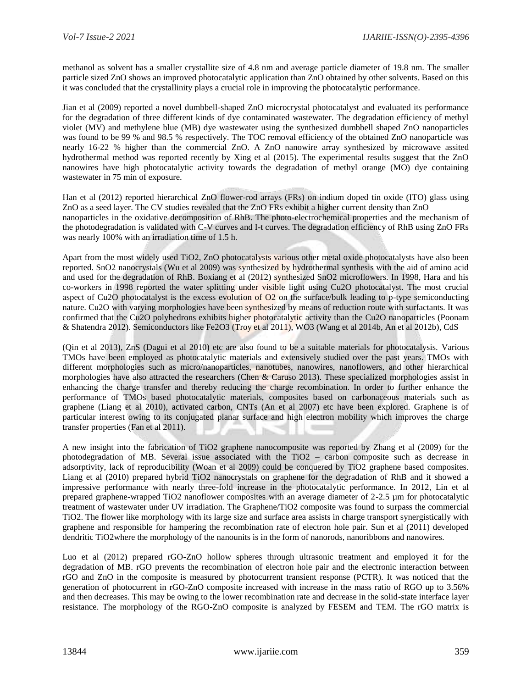methanol as solvent has a smaller crystallite size of 4.8 nm and average particle diameter of 19.8 nm. The smaller particle sized ZnO shows an improved photocatalytic application than ZnO obtained by other solvents. Based on this it was concluded that the crystallinity plays a crucial role in improving the photocatalytic performance.

Jian et al (2009) reported a novel dumbbell-shaped ZnO microcrystal photocatalyst and evaluated its performance for the degradation of three different kinds of dye contaminated wastewater. The degradation efficiency of methyl violet (MV) and methylene blue (MB) dye wastewater using the synthesized dumbbell shaped ZnO nanoparticles was found to be 99 % and 98.5 % respectively. The TOC removal efficiency of the obtained ZnO nanoparticle was nearly 16-22 % higher than the commercial ZnO. A ZnO nanowire array synthesized by microwave assited hydrothermal method was reported recently by Xing et al (2015). The experimental results suggest that the ZnO nanowires have high photocatalytic activity towards the degradation of methyl orange (MO) dye containing wastewater in 75 min of exposure.

Han et al (2012) reported hierarchical ZnO flower-rod arrays (FRs) on indium doped tin oxide (ITO) glass using ZnO as a seed layer. The CV studies revealed that the ZnO FRs exhibit a higher current density than ZnO nanoparticles in the oxidative decomposition of RhB. The photo-electrochemical properties and the mechanism of the photodegradation is validated with C-V curves and I-t curves. The degradation efficiency of RhB using ZnO FRs was nearly 100% with an irradiation time of 1.5 h.

Apart from the most widely used TiO2, ZnO photocatalysts various other metal oxide photocatalysts have also been reported. SnO2 nanocrystals (Wu et al 2009) was synthesized by hydrothermal synthesis with the aid of amino acid and used for the degradation of RhB. Boxiang et al (2012) synthesized SnO2 microflowers. In 1998, Hara and his co-workers in 1998 reported the water splitting under visible light using Cu2O photocatalyst. The most crucial aspect of Cu2O photocatalyst is the excess evolution of O2 on the surface/bulk leading to p-type semiconducting nature. Cu2O with varying morphologies have been synthesized by means of reduction route with surfactants. It was confirmed that the Cu2O polyhedrons exhibits higher photocatalytic activity than the Cu2O nanoparticles (Poonam & Shatendra 2012). Semiconductors like Fe2O3 (Troy et al 2011), WO3 (Wang et al 2014b, An et al 2012b), CdS

(Qin et al 2013), ZnS (Dagui et al 2010) etc are also found to be a suitable materials for photocatalysis. Various TMOs have been employed as photocatalytic materials and extensively studied over the past years. TMOs with different morphologies such as micro/nanoparticles, nanotubes, nanowires, nanoflowers, and other hierarchical morphologies have also attracted the researchers (Chen  $\&$  Caruso 2013). These specialized morphologies assist in enhancing the charge transfer and thereby reducing the charge recombination. In order to further enhance the performance of TMOs based photocatalytic materials, composites based on carbonaceous materials such as graphene (Liang et al 2010), activated carbon, CNTs (An et al 2007) etc have been explored. Graphene is of particular interest owing to its conjugated planar surface and high electron mobility which improves the charge transfer properties (Fan et al 2011).

A new insight into the fabrication of TiO2 graphene nanocomposite was reported by Zhang et al (2009) for the photodegradation of MB. Several issue associated with the TiO2 – carbon composite such as decrease in adsorptivity, lack of reproducibility (Woan et al 2009) could be conquered by TiO2 graphene based composites. Liang et al (2010) prepared hybrid TiO2 nanocrystals on graphene for the degradation of RhB and it showed a impressive performance with nearly three-fold increase in the photocatalytic performance. In 2012, Lin et al prepared graphene-wrapped TiO2 nanoflower composites with an average diameter of 2-2.5 µm for photocatalytic treatment of wastewater under UV irradiation. The Graphene/TiO2 composite was found to surpass the commercial TiO2. The flower like morphology with its large size and surface area assists in charge transport synergistically with graphene and responsible for hampering the recombination rate of electron hole pair. Sun et al (2011) developed dendritic TiO2where the morphology of the nanounits is in the form of nanorods, nanoribbons and nanowires.

Luo et al (2012) prepared rGO-ZnO hollow spheres through ultrasonic treatment and employed it for the degradation of MB. rGO prevents the recombination of electron hole pair and the electronic interaction between rGO and ZnO in the composite is measured by photocurrent transient response (PCTR). It was noticed that the generation of photocurrent in rGO-ZnO composite increased with increase in the mass ratio of RGO up to 3.56% and then decreases. This may be owing to the lower recombination rate and decrease in the solid-state interface layer resistance. The morphology of the RGO-ZnO composite is analyzed by FESEM and TEM. The rGO matrix is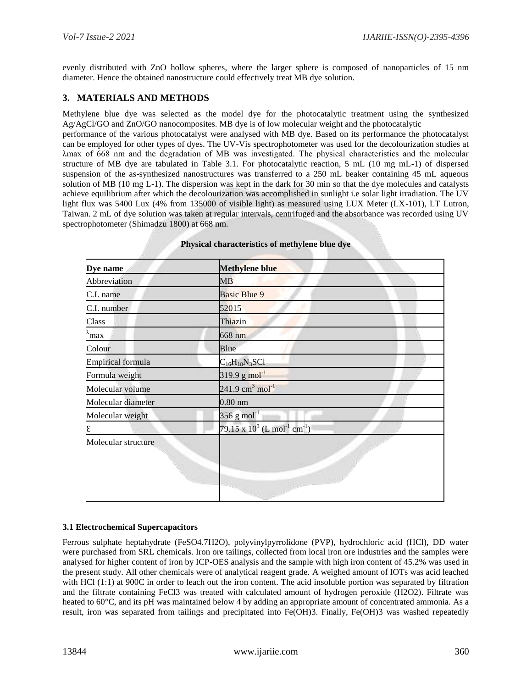evenly distributed with ZnO hollow spheres, where the larger sphere is composed of nanoparticles of 15 nm diameter. Hence the obtained nanostructure could effectively treat MB dye solution.

## **3. MATERIALS AND METHODS**

Methylene blue dye was selected as the model dye for the photocatalytic treatment using the synthesized Ag/AgCl/GO and ZnO/GO nanocomposites. MB dye is of low molecular weight and the photocatalytic

performance of the various photocatalyst were analysed with MB dye. Based on its performance the photocatalyst can be employed for other types of dyes. The UV-Vis spectrophotometer was used for the decolourization studies at λmax of 668 nm and the degradation of MB was investigated. The physical characteristics and the molecular structure of MB dye are tabulated in Table 3.1. For photocatalytic reaction, 5 mL (10 mg mL-1) of dispersed suspension of the as-synthesized nanostructures was transferred to a 250 mL beaker containing 45 mL aqueous solution of MB (10 mg L-1). The dispersion was kept in the dark for 30 min so that the dye molecules and catalysts achieve equilibrium after which the decolourization was accomplished in sunlight i.e solar light irradiation. The UV light flux was 5400 Lux (4% from 135000 of visible light) as measured using LUX Meter (LX-101), LT Lutron, Taiwan. 2 mL of dye solution was taken at regular intervals, centrifuged and the absorbance was recorded using UV spectrophotometer (Shimadzu 1800) at 668 nm.

| Dye name                 | Methylene blue                                         |  |
|--------------------------|--------------------------------------------------------|--|
| Abbreviation             | MB                                                     |  |
| C.I. name                | <b>Basic Blue 9</b>                                    |  |
| C.I. number              | 52015                                                  |  |
| Class                    | Thiazin                                                |  |
| `max                     | $668$ nm                                               |  |
| Colour                   | Blue                                                   |  |
| <b>Empirical formula</b> | $C_{16}H_{18}N_3SC1$                                   |  |
| Formula weight           | $319.9 g mol-1$                                        |  |
| Molecular volume         | $241.9 \text{ cm}^3 \text{ mol}^{-1}$                  |  |
| Molecular diameter       | $0.80$ nm                                              |  |
| Molecular weight         | 356 g mol <sup>-1</sup>                                |  |
|                          | 79.15 x $10^3$ (L mol <sup>-1</sup> cm <sup>-1</sup> ) |  |
| Molecular structure      |                                                        |  |

#### **Physical characteristics of methylene blue dye**

#### **3.1 Electrochemical Supercapacitors**

Ferrous sulphate heptahydrate (FeSO4.7H2O), polyvinylpyrrolidone (PVP), hydrochloric acid (HCl), DD water were purchased from SRL chemicals. Iron ore tailings, collected from local iron ore industries and the samples were analysed for higher content of iron by ICP-OES analysis and the sample with high iron content of 45.2% was used in the present study. All other chemicals were of analytical reagent grade. A weighed amount of IOTs was acid leached with HCl (1:1) at 900C in order to leach out the iron content. The acid insoluble portion was separated by filtration and the filtrate containing FeCl3 was treated with calculated amount of hydrogen peroxide (H2O2). Filtrate was heated to 60°C, and its pH was maintained below 4 by adding an appropriate amount of concentrated ammonia. As a result, iron was separated from tailings and precipitated into Fe(OH)3. Finally, Fe(OH)3 was washed repeatedly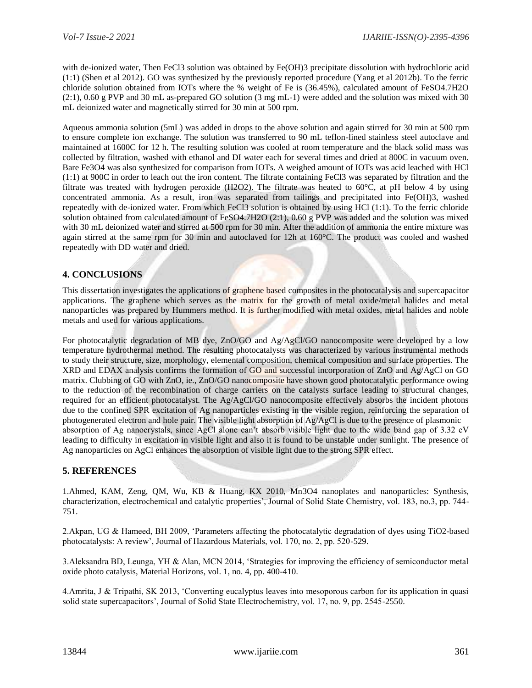with de-ionized water, Then FeCl3 solution was obtained by Fe(OH)3 precipitate dissolution with hydrochloric acid (1:1) (Shen et al 2012). GO was synthesized by the previously reported procedure (Yang et al 2012b). To the ferric chloride solution obtained from IOTs where the % weight of Fe is (36.45%), calculated amount of FeSO4.7H2O (2:1), 0.60 g PVP and 30 mL as-prepared GO solution (3 mg mL-1) were added and the solution was mixed with 30 mL deionized water and magnetically stirred for 30 min at 500 rpm.

Aqueous ammonia solution (5mL) was added in drops to the above solution and again stirred for 30 min at 500 rpm to ensure complete ion exchange. The solution was transferred to 90 mL teflon-lined stainless steel autoclave and maintained at 1600C for 12 h. The resulting solution was cooled at room temperature and the black solid mass was collected by filtration, washed with ethanol and DI water each for several times and dried at 800C in vacuum oven. Bare Fe3O4 was also synthesized for comparison from IOTs. A weighed amount of IOTs was acid leached with HCl (1:1) at 900C in order to leach out the iron content. The filtrate containing FeCl3 was separated by filtration and the filtrate was treated with hydrogen peroxide (H2O2). The filtrate was heated to 60°C, at pH below 4 by using concentrated ammonia. As a result, iron was separated from tailings and precipitated into Fe(OH)3, washed repeatedly with de-ionized water. From which FeCl3 solution is obtained by using HCl (1:1). To the ferric chloride solution obtained from calculated amount of FeSO4.7H2O (2:1), 0.60 g PVP was added and the solution was mixed with 30 mL deionized water and stirred at 500 rpm for 30 min. After the addition of ammonia the entire mixture was again stirred at the same rpm for 30 min and autoclaved for 12h at 160°C. The product was cooled and washed repeatedly with DD water and dried.

# **4. CONCLUSIONS**

This dissertation investigates the applications of graphene based composites in the photocatalysis and supercapacitor applications. The graphene which serves as the matrix for the growth of metal oxide/metal halides and metal nanoparticles was prepared by Hummers method. It is further modified with metal oxides, metal halides and noble metals and used for various applications.

For photocatalytic degradation of MB dye, ZnO/GO and Ag/AgCl/GO nanocomposite were developed by a low temperature hydrothermal method. The resulting photocatalysts was characterized by various instrumental methods to study their structure, size, morphology, elemental composition, chemical composition and surface properties. The XRD and EDAX analysis confirms the formation of GO and successful incorporation of ZnO and Ag/AgCl on GO matrix. Clubbing of GO with ZnO, ie., ZnO/GO nanocomposite have shown good photocatalytic performance owing to the reduction of the recombination of charge carriers on the catalysts surface leading to structural changes, required for an efficient photocatalyst. The Ag/AgCl/GO nanocomposite effectively absorbs the incident photons due to the confined SPR excitation of Ag nanoparticles existing in the visible region, reinforcing the separation of photogenerated electron and hole pair. The visible light absorption of Ag/AgCl is due to the presence of plasmonic absorption of Ag nanocrystals, since AgCl alone can't absorb visible light due to the wide band gap of 3.32 eV leading to difficulty in excitation in visible light and also it is found to be unstable under sunlight. The presence of Ag nanoparticles on AgCl enhances the absorption of visible light due to the strong SPR effect.

# **5. REFERENCES**

1.Ahmed, KAM, Zeng, QM, Wu, KB & Huang, KX 2010, Mn3O4 nanoplates and nanoparticles: Synthesis, characterization, electrochemical and catalytic properties', Journal of Solid State Chemistry, vol. 183, no.3, pp. 744- 751.

2.Akpan, UG & Hameed, BH 2009, 'Parameters affecting the photocatalytic degradation of dyes using TiO2-based photocatalysts: A review', Journal of Hazardous Materials, vol. 170, no. 2, pp. 520-529.

3.Aleksandra BD, Leunga, YH & Alan, MCN 2014, 'Strategies for improving the efficiency of semiconductor metal oxide photo catalysis, Material Horizons, vol. 1, no. 4, pp. 400-410.

4.Amrita, J & Tripathi, SK 2013, 'Converting eucalyptus leaves into mesoporous carbon for its application in quasi solid state supercapacitors', Journal of Solid State Electrochemistry, vol. 17, no. 9, pp. 2545-2550.